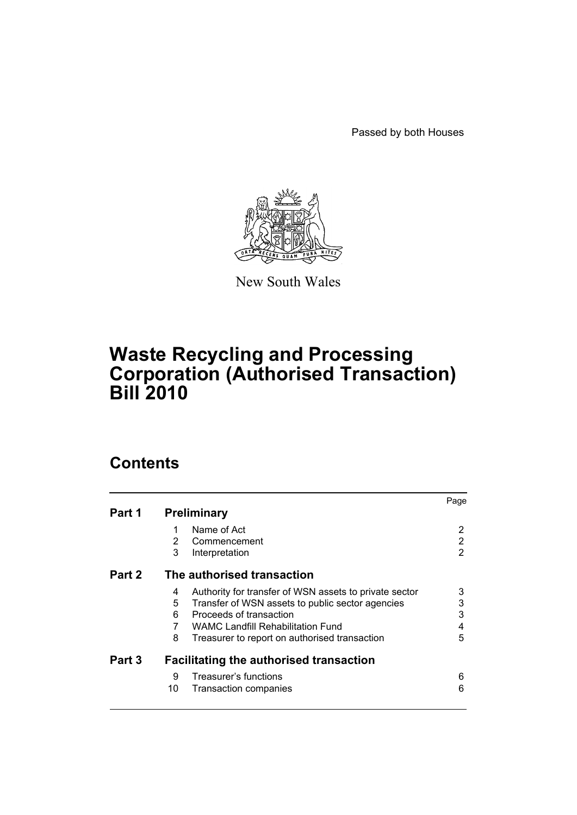Passed by both Houses



New South Wales

# **Waste Recycling and Processing Corporation (Authorised Transaction) Bill 2010**

# **Contents**

|        |                                                             | Page |
|--------|-------------------------------------------------------------|------|
| Part 1 | <b>Preliminary</b>                                          |      |
|        | Name of Act<br>1                                            | 2    |
|        | 2<br>Commencement                                           | 2    |
|        | 3<br>Interpretation                                         | 2    |
| Part 2 | The authorised transaction                                  |      |
|        | Authority for transfer of WSN assets to private sector<br>4 | 3    |
|        | 5<br>Transfer of WSN assets to public sector agencies       | 3    |
|        | Proceeds of transaction<br>6                                | 3    |
|        | <b>WAMC Landfill Rehabilitation Fund</b>                    | 4    |
|        | 8<br>Treasurer to report on authorised transaction          | 5    |
| Part 3 | <b>Facilitating the authorised transaction</b>              |      |
|        | Treasurer's functions<br>9                                  | 6    |
|        | 10<br><b>Transaction companies</b>                          | 6    |
|        |                                                             |      |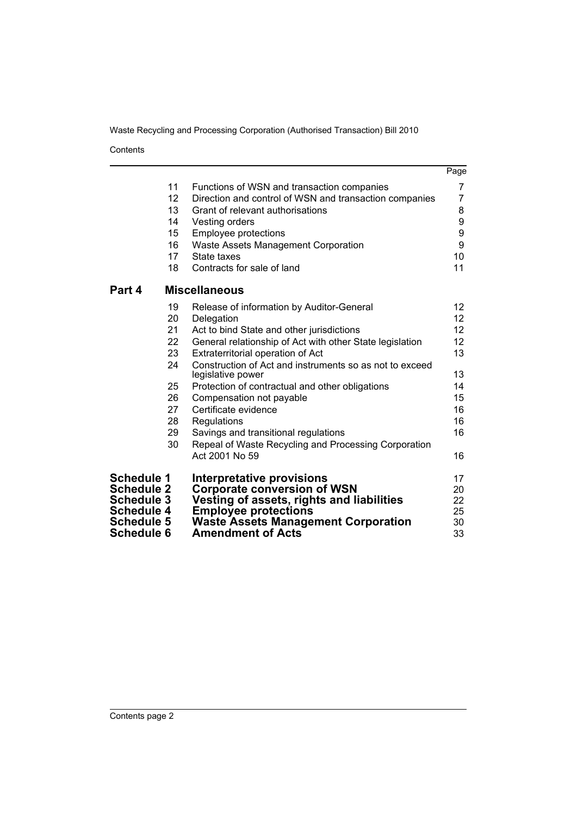Contents

|                   |    |                                                                              | Page            |
|-------------------|----|------------------------------------------------------------------------------|-----------------|
|                   | 11 | Functions of WSN and transaction companies                                   | 7               |
|                   | 12 | Direction and control of WSN and transaction companies                       | 7               |
|                   | 13 | Grant of relevant authorisations                                             | 8               |
|                   | 14 | Vesting orders                                                               | 9               |
|                   | 15 | <b>Employee protections</b>                                                  | 9               |
|                   | 16 | <b>Waste Assets Management Corporation</b>                                   | 9               |
|                   | 17 | State taxes                                                                  | 10              |
|                   | 18 | Contracts for sale of land                                                   | 11              |
| Part 4            |    | <b>Miscellaneous</b>                                                         |                 |
|                   | 19 | Release of information by Auditor-General                                    | 12              |
|                   | 20 | Delegation                                                                   | 12 <sub>2</sub> |
|                   | 21 | Act to bind State and other jurisdictions                                    | 12 <sup>2</sup> |
|                   | 22 | General relationship of Act with other State legislation                     | 12 <sub>2</sub> |
|                   | 23 | Extraterritorial operation of Act                                            | 13              |
|                   | 24 | Construction of Act and instruments so as not to exceed<br>legislative power | 13              |
|                   | 25 | Protection of contractual and other obligations                              | 14              |
|                   | 26 | Compensation not payable                                                     | 15              |
|                   | 27 | Certificate evidence                                                         | 16              |
|                   | 28 | Regulations                                                                  | 16              |
|                   | 29 | Savings and transitional regulations                                         | 16              |
|                   | 30 | Repeal of Waste Recycling and Processing Corporation                         |                 |
|                   |    | Act 2001 No 59                                                               | 16              |
| <b>Schedule 1</b> |    | <b>Interpretative provisions</b>                                             | 17              |
| <b>Schedule 2</b> |    | <b>Corporate conversion of WSN</b>                                           | 20              |
| <b>Schedule 3</b> |    | Vesting of assets, rights and liabilities                                    | 22              |
| <b>Schedule 4</b> |    | <b>Employee protections</b>                                                  | 25              |
| <b>Schedule 5</b> |    | <b>Waste Assets Management Corporation</b>                                   | 30              |
| <b>Schedule 6</b> |    | <b>Amendment of Acts</b>                                                     | 33              |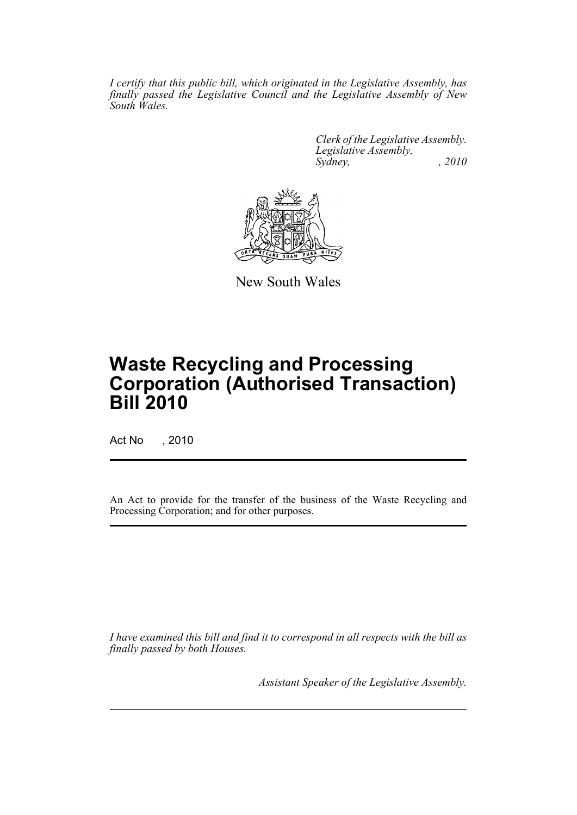*I certify that this public bill, which originated in the Legislative Assembly, has finally passed the Legislative Council and the Legislative Assembly of New South Wales.*

> *Clerk of the Legislative Assembly. Legislative Assembly, Sydney, , 2010*



New South Wales

# **Waste Recycling and Processing Corporation (Authorised Transaction) Bill 2010**

Act No , 2010

An Act to provide for the transfer of the business of the Waste Recycling and Processing Corporation; and for other purposes.

*I have examined this bill and find it to correspond in all respects with the bill as finally passed by both Houses.*

*Assistant Speaker of the Legislative Assembly.*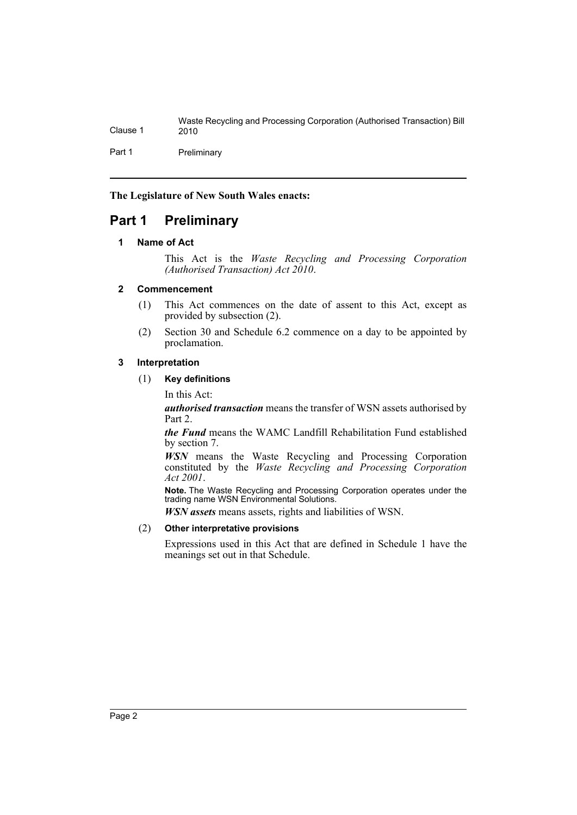Part 1 Preliminary

**The Legislature of New South Wales enacts:**

# <span id="page-3-1"></span><span id="page-3-0"></span>**Part 1 Preliminary**

#### **1 Name of Act**

This Act is the *Waste Recycling and Processing Corporation (Authorised Transaction) Act 2010*.

#### <span id="page-3-2"></span>**2 Commencement**

- (1) This Act commences on the date of assent to this Act, except as provided by subsection (2).
- (2) Section 30 and Schedule 6.2 commence on a day to be appointed by proclamation.

#### <span id="page-3-3"></span>**3 Interpretation**

#### (1) **Key definitions**

In this Act:

*authorised transaction* means the transfer of WSN assets authorised by Part 2.

*the Fund* means the WAMC Landfill Rehabilitation Fund established by section 7.

*WSN* means the Waste Recycling and Processing Corporation constituted by the *Waste Recycling and Processing Corporation Act 2001*.

**Note.** The Waste Recycling and Processing Corporation operates under the trading name WSN Environmental Solutions.

*WSN assets* means assets, rights and liabilities of WSN.

#### (2) **Other interpretative provisions**

Expressions used in this Act that are defined in Schedule 1 have the meanings set out in that Schedule.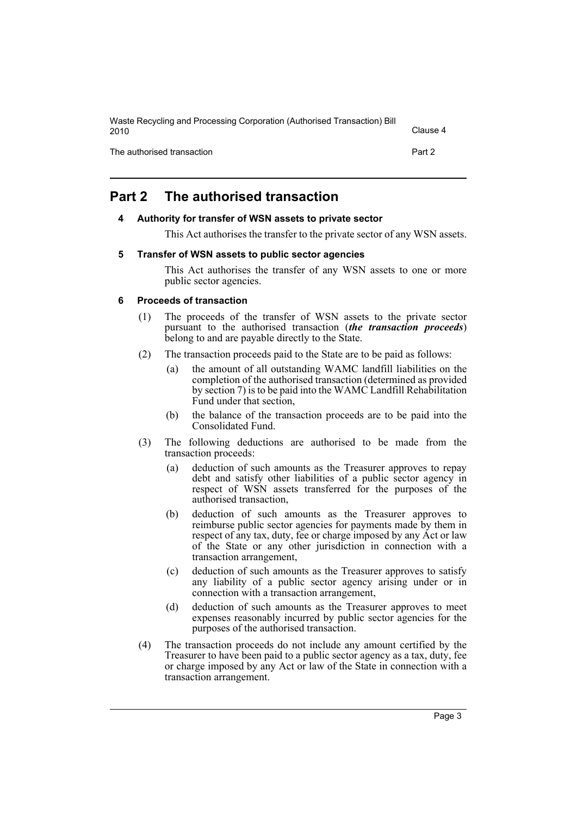| Waste Recycling and Processing Corporation (Authorised Transaction) Bill<br>2010 | Clause 4 |
|----------------------------------------------------------------------------------|----------|
| The authorised transaction                                                       | Part 2   |

# <span id="page-4-1"></span><span id="page-4-0"></span>**Part 2 The authorised transaction**

#### **4 Authority for transfer of WSN assets to private sector**

This Act authorises the transfer to the private sector of any WSN assets.

#### <span id="page-4-2"></span>**5 Transfer of WSN assets to public sector agencies**

This Act authorises the transfer of any WSN assets to one or more public sector agencies.

#### <span id="page-4-3"></span>**6 Proceeds of transaction**

- (1) The proceeds of the transfer of WSN assets to the private sector pursuant to the authorised transaction (*the transaction proceeds*) belong to and are payable directly to the State.
- (2) The transaction proceeds paid to the State are to be paid as follows:
	- (a) the amount of all outstanding WAMC landfill liabilities on the completion of the authorised transaction (determined as provided by section 7) is to be paid into the WAMC Landfill Rehabilitation Fund under that section,
	- (b) the balance of the transaction proceeds are to be paid into the Consolidated Fund.
- (3) The following deductions are authorised to be made from the transaction proceeds:
	- (a) deduction of such amounts as the Treasurer approves to repay debt and satisfy other liabilities of a public sector agency in respect of WSN assets transferred for the purposes of the authorised transaction,
	- (b) deduction of such amounts as the Treasurer approves to reimburse public sector agencies for payments made by them in respect of any tax, duty, fee or charge imposed by any Act or law of the State or any other jurisdiction in connection with a transaction arrangement,
	- (c) deduction of such amounts as the Treasurer approves to satisfy any liability of a public sector agency arising under or in connection with a transaction arrangement,
	- (d) deduction of such amounts as the Treasurer approves to meet expenses reasonably incurred by public sector agencies for the purposes of the authorised transaction.
- (4) The transaction proceeds do not include any amount certified by the Treasurer to have been paid to a public sector agency as a tax, duty, fee or charge imposed by any Act or law of the State in connection with a transaction arrangement.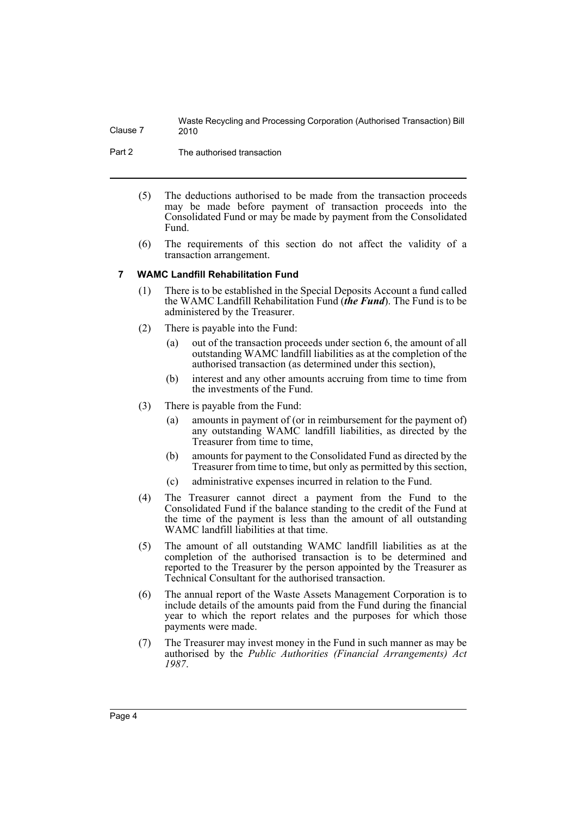Part 2 The authorised transaction

- (5) The deductions authorised to be made from the transaction proceeds may be made before payment of transaction proceeds into the Consolidated Fund or may be made by payment from the Consolidated Fund.
- (6) The requirements of this section do not affect the validity of a transaction arrangement.

#### <span id="page-5-0"></span>**7 WAMC Landfill Rehabilitation Fund**

- (1) There is to be established in the Special Deposits Account a fund called the WAMC Landfill Rehabilitation Fund (*the Fund*). The Fund is to be administered by the Treasurer.
- (2) There is payable into the Fund:
	- (a) out of the transaction proceeds under section 6, the amount of all outstanding WAMC landfill liabilities as at the completion of the authorised transaction (as determined under this section),
	- (b) interest and any other amounts accruing from time to time from the investments of the Fund.
- (3) There is payable from the Fund:
	- (a) amounts in payment of (or in reimbursement for the payment of) any outstanding WAMC landfill liabilities, as directed by the Treasurer from time to time,
	- (b) amounts for payment to the Consolidated Fund as directed by the Treasurer from time to time, but only as permitted by this section,
	- (c) administrative expenses incurred in relation to the Fund.
- (4) The Treasurer cannot direct a payment from the Fund to the Consolidated Fund if the balance standing to the credit of the Fund at the time of the payment is less than the amount of all outstanding WAMC landfill liabilities at that time.
- (5) The amount of all outstanding WAMC landfill liabilities as at the completion of the authorised transaction is to be determined and reported to the Treasurer by the person appointed by the Treasurer as Technical Consultant for the authorised transaction.
- (6) The annual report of the Waste Assets Management Corporation is to include details of the amounts paid from the Fund during the financial year to which the report relates and the purposes for which those payments were made.
- (7) The Treasurer may invest money in the Fund in such manner as may be authorised by the *Public Authorities (Financial Arrangements) Act 1987*.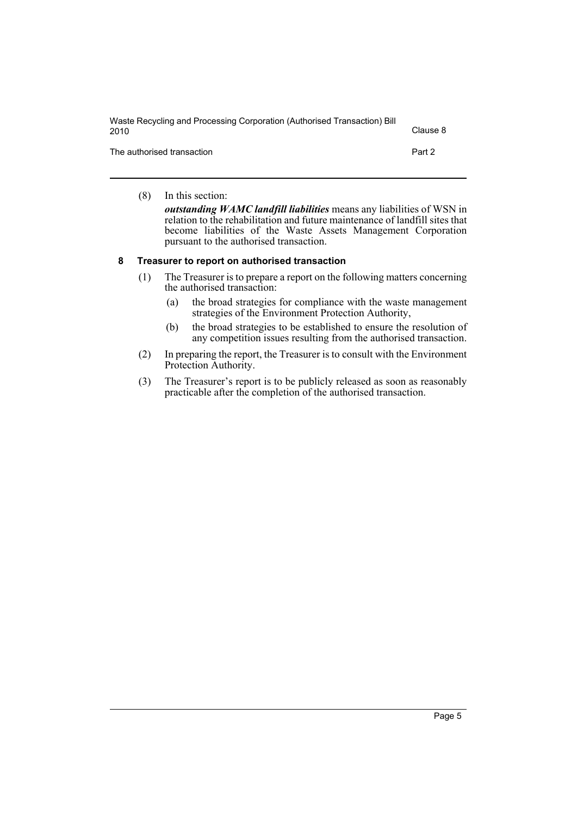| Waste Recycling and Processing Corporation (Authorised Transaction) Bill<br>2010 | Clause 8 |
|----------------------------------------------------------------------------------|----------|
| The authorised transaction                                                       | Part 2   |

(8) In this section: *outstanding WAMC landfill liabilities* means any liabilities of WSN in relation to the rehabilitation and future maintenance of landfill sites that become liabilities of the Waste Assets Management Corporation pursuant to the authorised transaction.

#### <span id="page-6-0"></span>**8 Treasurer to report on authorised transaction**

- (1) The Treasurer is to prepare a report on the following matters concerning the authorised transaction:
	- (a) the broad strategies for compliance with the waste management strategies of the Environment Protection Authority,
	- (b) the broad strategies to be established to ensure the resolution of any competition issues resulting from the authorised transaction.
- (2) In preparing the report, the Treasurer is to consult with the Environment Protection Authority.
- (3) The Treasurer's report is to be publicly released as soon as reasonably practicable after the completion of the authorised transaction.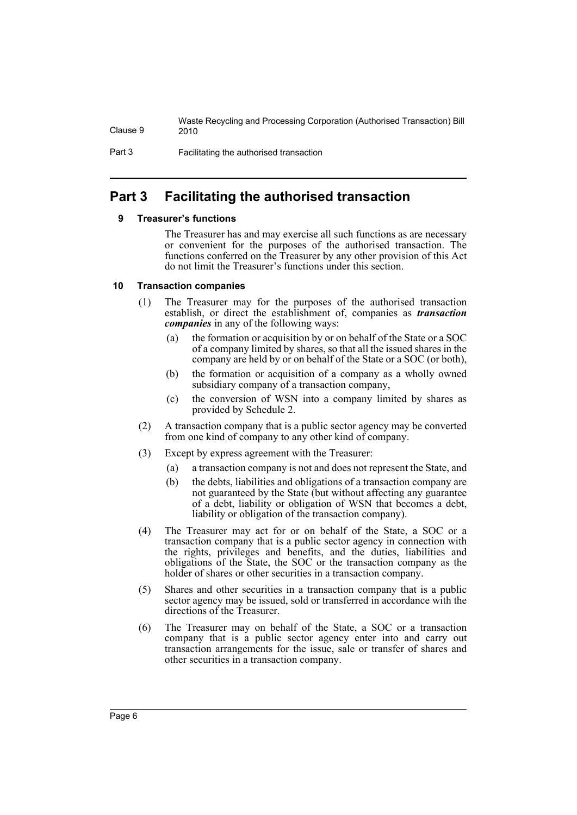Part 3 Facilitating the authorised transaction

## <span id="page-7-1"></span><span id="page-7-0"></span>**Part 3 Facilitating the authorised transaction**

#### **9 Treasurer's functions**

The Treasurer has and may exercise all such functions as are necessary or convenient for the purposes of the authorised transaction. The functions conferred on the Treasurer by any other provision of this Act do not limit the Treasurer's functions under this section.

#### <span id="page-7-2"></span>**10 Transaction companies**

- (1) The Treasurer may for the purposes of the authorised transaction establish, or direct the establishment of, companies as *transaction companies* in any of the following ways:
	- (a) the formation or acquisition by or on behalf of the State or a SOC of a company limited by shares, so that all the issued shares in the company are held by or on behalf of the State or a SOC (or both),
	- (b) the formation or acquisition of a company as a wholly owned subsidiary company of a transaction company,
	- (c) the conversion of WSN into a company limited by shares as provided by Schedule 2.
- (2) A transaction company that is a public sector agency may be converted from one kind of company to any other kind of company.
- (3) Except by express agreement with the Treasurer:
	- (a) a transaction company is not and does not represent the State, and
	- (b) the debts, liabilities and obligations of a transaction company are not guaranteed by the State (but without affecting any guarantee of a debt, liability or obligation of WSN that becomes a debt, liability or obligation of the transaction company).
- (4) The Treasurer may act for or on behalf of the State, a SOC or a transaction company that is a public sector agency in connection with the rights, privileges and benefits, and the duties, liabilities and obligations of the State, the SOC or the transaction company as the holder of shares or other securities in a transaction company.
- (5) Shares and other securities in a transaction company that is a public sector agency may be issued, sold or transferred in accordance with the directions of the Treasurer.
- (6) The Treasurer may on behalf of the State, a SOC or a transaction company that is a public sector agency enter into and carry out transaction arrangements for the issue, sale or transfer of shares and other securities in a transaction company.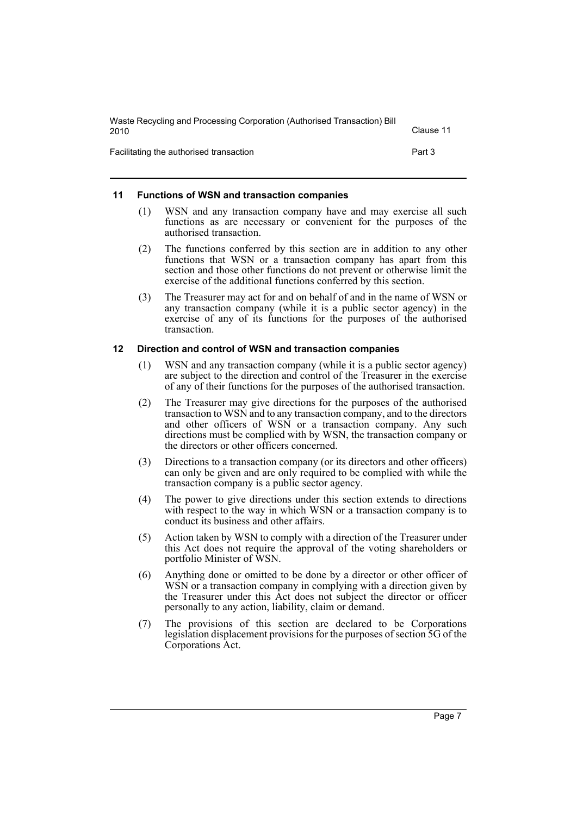| Waste Recycling and Processing Corporation (Authorised Transaction) Bill<br>2010 | Clause 11 |
|----------------------------------------------------------------------------------|-----------|
| Facilitating the authorised transaction                                          | Part 3    |

#### <span id="page-8-0"></span>**11 Functions of WSN and transaction companies**

- (1) WSN and any transaction company have and may exercise all such functions as are necessary or convenient for the purposes of the authorised transaction.
- (2) The functions conferred by this section are in addition to any other functions that WSN or a transaction company has apart from this section and those other functions do not prevent or otherwise limit the exercise of the additional functions conferred by this section.
- (3) The Treasurer may act for and on behalf of and in the name of WSN or any transaction company (while it is a public sector agency) in the exercise of any of its functions for the purposes of the authorised transaction.

#### <span id="page-8-1"></span>**12 Direction and control of WSN and transaction companies**

- (1) WSN and any transaction company (while it is a public sector agency) are subject to the direction and control of the Treasurer in the exercise of any of their functions for the purposes of the authorised transaction.
- (2) The Treasurer may give directions for the purposes of the authorised transaction to WSN and to any transaction company, and to the directors and other officers of WSN or a transaction company. Any such directions must be complied with by WSN, the transaction company or the directors or other officers concerned.
- (3) Directions to a transaction company (or its directors and other officers) can only be given and are only required to be complied with while the transaction company is a public sector agency.
- (4) The power to give directions under this section extends to directions with respect to the way in which WSN or a transaction company is to conduct its business and other affairs.
- (5) Action taken by WSN to comply with a direction of the Treasurer under this Act does not require the approval of the voting shareholders or portfolio Minister of WSN.
- (6) Anything done or omitted to be done by a director or other officer of WSN or a transaction company in complying with a direction given by the Treasurer under this Act does not subject the director or officer personally to any action, liability, claim or demand.
- (7) The provisions of this section are declared to be Corporations legislation displacement provisions for the purposes of section 5G of the Corporations Act.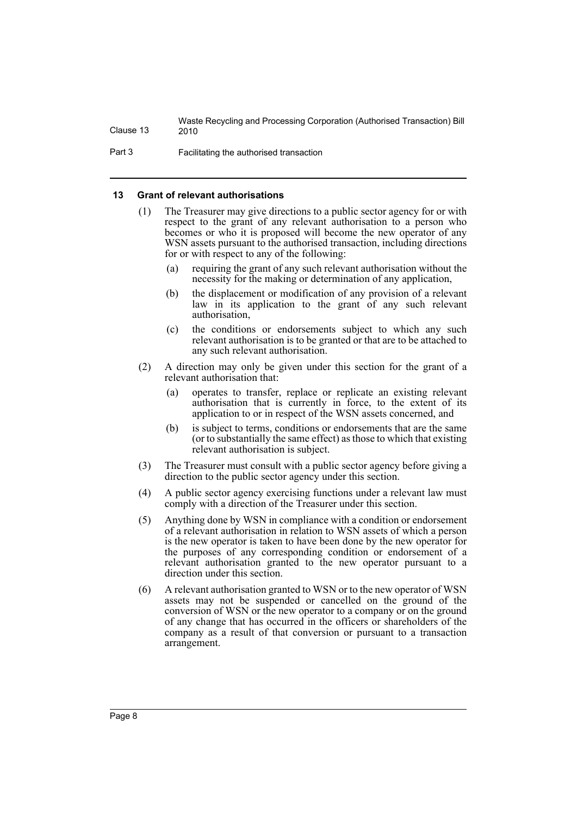Part 3 Facilitating the authorised transaction

#### <span id="page-9-0"></span>**13 Grant of relevant authorisations**

- (1) The Treasurer may give directions to a public sector agency for or with respect to the grant of any relevant authorisation to a person who becomes or who it is proposed will become the new operator of any WSN assets pursuant to the authorised transaction, including directions for or with respect to any of the following:
	- (a) requiring the grant of any such relevant authorisation without the necessity for the making or determination of any application,
	- (b) the displacement or modification of any provision of a relevant law in its application to the grant of any such relevant authorisation,
	- (c) the conditions or endorsements subject to which any such relevant authorisation is to be granted or that are to be attached to any such relevant authorisation.
- (2) A direction may only be given under this section for the grant of a relevant authorisation that:
	- (a) operates to transfer, replace or replicate an existing relevant authorisation that is currently in force, to the extent of its application to or in respect of the WSN assets concerned, and
	- (b) is subject to terms, conditions or endorsements that are the same (or to substantially the same effect) as those to which that existing relevant authorisation is subject.
- (3) The Treasurer must consult with a public sector agency before giving a direction to the public sector agency under this section.
- (4) A public sector agency exercising functions under a relevant law must comply with a direction of the Treasurer under this section.
- (5) Anything done by WSN in compliance with a condition or endorsement of a relevant authorisation in relation to WSN assets of which a person is the new operator is taken to have been done by the new operator for the purposes of any corresponding condition or endorsement of a relevant authorisation granted to the new operator pursuant to a direction under this section.
- (6) A relevant authorisation granted to WSN or to the new operator of WSN assets may not be suspended or cancelled on the ground of the conversion of WSN or the new operator to a company or on the ground of any change that has occurred in the officers or shareholders of the company as a result of that conversion or pursuant to a transaction arrangement.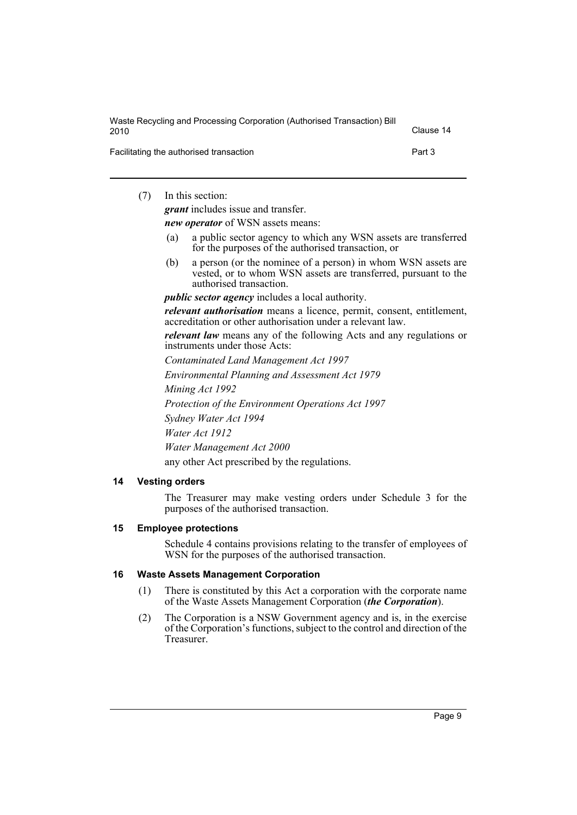| Waste Recycling and Processing Corporation (Authorised Transaction) Bill<br>2010 | Clause 14 |
|----------------------------------------------------------------------------------|-----------|
| Facilitating the authorised transaction                                          | Part 3    |

(7) In this section:

*grant* includes issue and transfer.

*new operator* of WSN assets means:

- (a) a public sector agency to which any WSN assets are transferred for the purposes of the authorised transaction, or
- (b) a person (or the nominee of a person) in whom WSN assets are vested, or to whom WSN assets are transferred, pursuant to the authorised transaction.

*public sector agency* includes a local authority.

*relevant authorisation* means a licence, permit, consent, entitlement, accreditation or other authorisation under a relevant law.

*relevant law* means any of the following Acts and any regulations or instruments under those Acts:

*Contaminated Land Management Act 1997*

*Environmental Planning and Assessment Act 1979*

*Mining Act 1992*

*Protection of the Environment Operations Act 1997*

*Sydney Water Act 1994*

*Water Act 1912*

*Water Management Act 2000*

any other Act prescribed by the regulations.

### <span id="page-10-0"></span>**14 Vesting orders**

The Treasurer may make vesting orders under Schedule 3 for the purposes of the authorised transaction.

#### <span id="page-10-1"></span>**15 Employee protections**

Schedule 4 contains provisions relating to the transfer of employees of WSN for the purposes of the authorised transaction.

#### <span id="page-10-2"></span>**16 Waste Assets Management Corporation**

- (1) There is constituted by this Act a corporation with the corporate name of the Waste Assets Management Corporation (*the Corporation*).
- (2) The Corporation is a NSW Government agency and is, in the exercise of the Corporation's functions, subject to the control and direction of the Treasurer.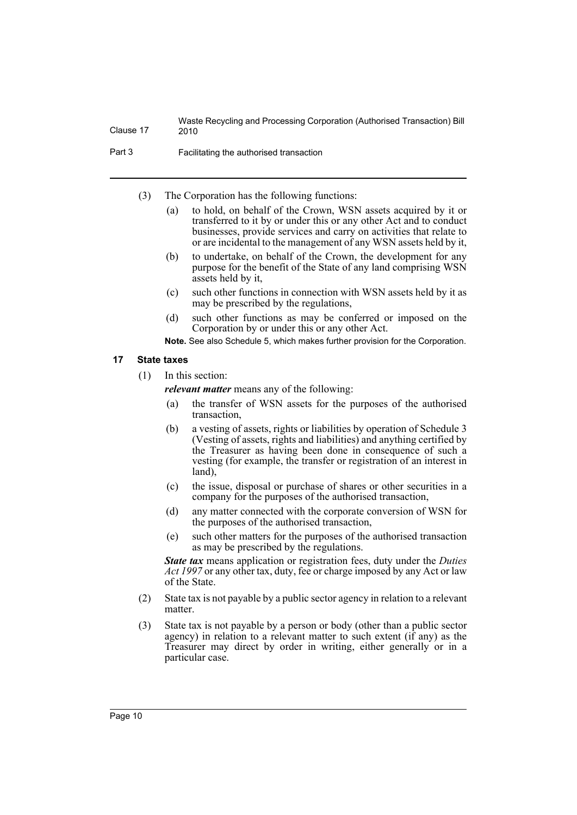Part 3 Facilitating the authorised transaction

- (3) The Corporation has the following functions:
	- (a) to hold, on behalf of the Crown, WSN assets acquired by it or transferred to it by or under this or any other Act and to conduct businesses, provide services and carry on activities that relate to or are incidental to the management of any WSN assets held by it,
	- (b) to undertake, on behalf of the Crown, the development for any purpose for the benefit of the State of any land comprising WSN assets held by it,
	- (c) such other functions in connection with WSN assets held by it as may be prescribed by the regulations,
	- (d) such other functions as may be conferred or imposed on the Corporation by or under this or any other Act.

**Note.** See also Schedule 5, which makes further provision for the Corporation.

#### <span id="page-11-0"></span>**17 State taxes**

(1) In this section:

*relevant matter* means any of the following:

- (a) the transfer of WSN assets for the purposes of the authorised transaction,
- (b) a vesting of assets, rights or liabilities by operation of Schedule 3 (Vesting of assets, rights and liabilities) and anything certified by the Treasurer as having been done in consequence of such a vesting (for example, the transfer or registration of an interest in land),
- (c) the issue, disposal or purchase of shares or other securities in a company for the purposes of the authorised transaction,
- (d) any matter connected with the corporate conversion of WSN for the purposes of the authorised transaction,
- (e) such other matters for the purposes of the authorised transaction as may be prescribed by the regulations.

*State tax* means application or registration fees, duty under the *Duties Act 1997* or any other tax, duty, fee or charge imposed by any Act or law of the State.

- (2) State tax is not payable by a public sector agency in relation to a relevant matter.
- (3) State tax is not payable by a person or body (other than a public sector agency) in relation to a relevant matter to such extent (if any) as the Treasurer may direct by order in writing, either generally or in a particular case.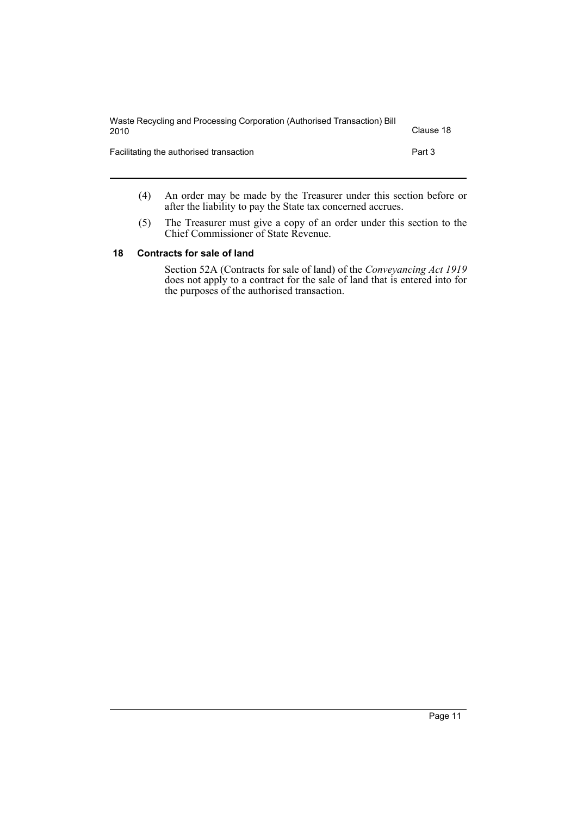| Waste Recycling and Processing Corporation (Authorised Transaction) Bill<br>2010 | Clause 18 |
|----------------------------------------------------------------------------------|-----------|
| Facilitating the authorised transaction                                          | Part 3    |

- (4) An order may be made by the Treasurer under this section before or after the liability to pay the State tax concerned accrues.
- (5) The Treasurer must give a copy of an order under this section to the Chief Commissioner of State Revenue.

#### <span id="page-12-0"></span>**18 Contracts for sale of land**

Section 52A (Contracts for sale of land) of the *Conveyancing Act 1919* does not apply to a contract for the sale of land that is entered into for the purposes of the authorised transaction.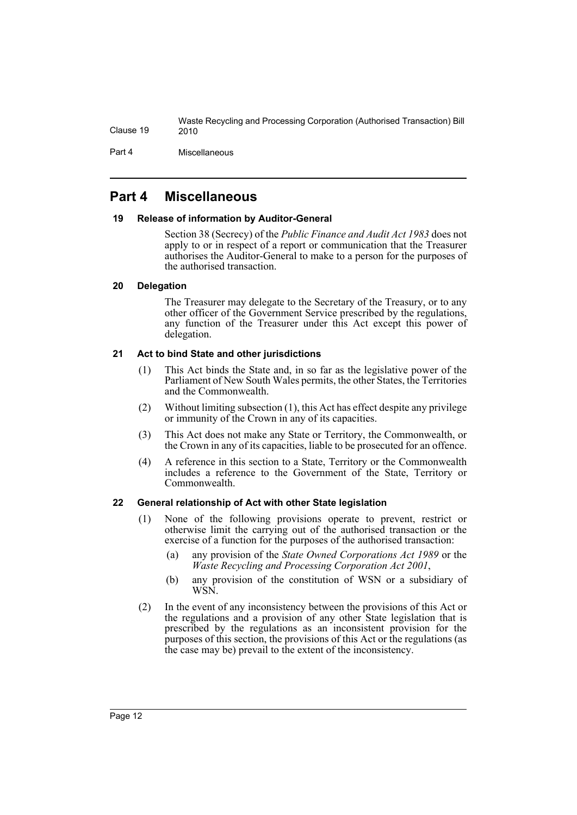Part 4 Miscellaneous

### <span id="page-13-0"></span>**Part 4 Miscellaneous**

#### <span id="page-13-1"></span>**19 Release of information by Auditor-General**

Section 38 (Secrecy) of the *Public Finance and Audit Act 1983* does not apply to or in respect of a report or communication that the Treasurer authorises the Auditor-General to make to a person for the purposes of the authorised transaction.

### <span id="page-13-2"></span>**20 Delegation**

The Treasurer may delegate to the Secretary of the Treasury, or to any other officer of the Government Service prescribed by the regulations, any function of the Treasurer under this Act except this power of delegation.

### <span id="page-13-3"></span>**21 Act to bind State and other jurisdictions**

- (1) This Act binds the State and, in so far as the legislative power of the Parliament of New South Wales permits, the other States, the Territories and the Commonwealth.
- (2) Without limiting subsection (1), this Act has effect despite any privilege or immunity of the Crown in any of its capacities.
- (3) This Act does not make any State or Territory, the Commonwealth, or the Crown in any of its capacities, liable to be prosecuted for an offence.
- (4) A reference in this section to a State, Territory or the Commonwealth includes a reference to the Government of the State, Territory or Commonwealth.

#### <span id="page-13-4"></span>**22 General relationship of Act with other State legislation**

- (1) None of the following provisions operate to prevent, restrict or otherwise limit the carrying out of the authorised transaction or the exercise of a function for the purposes of the authorised transaction:
	- (a) any provision of the *State Owned Corporations Act 1989* or the *Waste Recycling and Processing Corporation Act 2001*,
	- (b) any provision of the constitution of WSN or a subsidiary of WSN.
- (2) In the event of any inconsistency between the provisions of this Act or the regulations and a provision of any other State legislation that is prescribed by the regulations as an inconsistent provision for the purposes of this section, the provisions of this Act or the regulations (as the case may be) prevail to the extent of the inconsistency.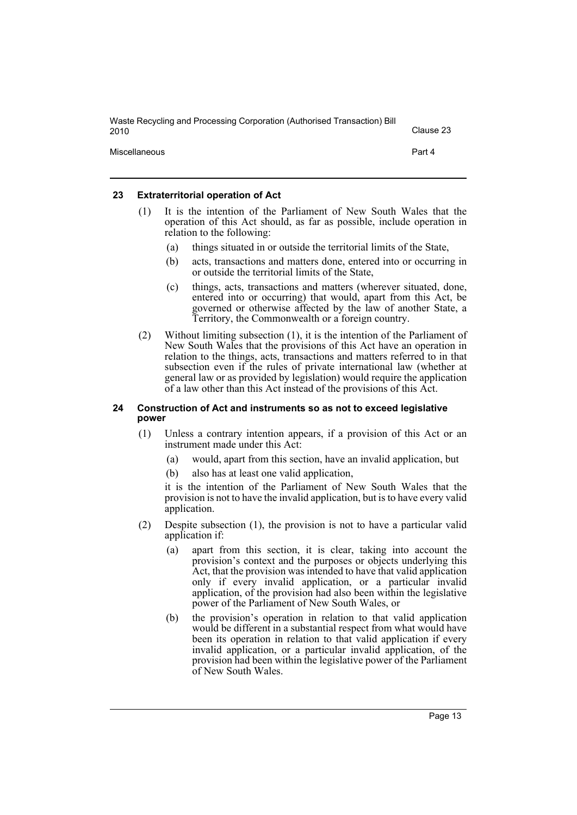| Waste Recycling and Processing Corporation (Authorised Transaction) Bill<br>2010 | Clause 23 |
|----------------------------------------------------------------------------------|-----------|
| Miscellaneous                                                                    | Part 4    |

#### <span id="page-14-0"></span>**23 Extraterritorial operation of Act**

- (1) It is the intention of the Parliament of New South Wales that the operation of this Act should, as far as possible, include operation in relation to the following:
	- (a) things situated in or outside the territorial limits of the State,
	- (b) acts, transactions and matters done, entered into or occurring in or outside the territorial limits of the State,
	- (c) things, acts, transactions and matters (wherever situated, done, entered into or occurring) that would, apart from this Act, be governed or otherwise affected by the law of another State, a Territory, the Commonwealth or a foreign country.
- (2) Without limiting subsection (1), it is the intention of the Parliament of New South Wales that the provisions of this Act have an operation in relation to the things, acts, transactions and matters referred to in that subsection even if the rules of private international law (whether at general law or as provided by legislation) would require the application of a law other than this Act instead of the provisions of this Act.

#### <span id="page-14-1"></span>**24 Construction of Act and instruments so as not to exceed legislative power**

- (1) Unless a contrary intention appears, if a provision of this Act or an instrument made under this Act:
	- (a) would, apart from this section, have an invalid application, but
	- (b) also has at least one valid application,

it is the intention of the Parliament of New South Wales that the provision is not to have the invalid application, but is to have every valid application.

- (2) Despite subsection (1), the provision is not to have a particular valid application if:
	- (a) apart from this section, it is clear, taking into account the provision's context and the purposes or objects underlying this Act, that the provision was intended to have that valid application only if every invalid application, or a particular invalid application, of the provision had also been within the legislative power of the Parliament of New South Wales, or
	- (b) the provision's operation in relation to that valid application would be different in a substantial respect from what would have been its operation in relation to that valid application if every invalid application, or a particular invalid application, of the provision had been within the legislative power of the Parliament of New South Wales.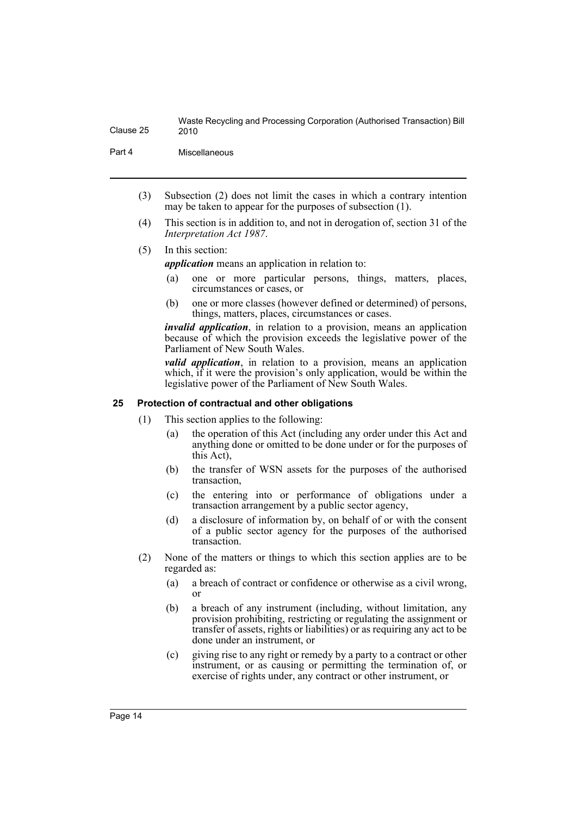Part 4 Miscellaneous

- (3) Subsection (2) does not limit the cases in which a contrary intention may be taken to appear for the purposes of subsection (1).
- (4) This section is in addition to, and not in derogation of, section 31 of the *Interpretation Act 1987*.
- (5) In this section:

*application* means an application in relation to:

- (a) one or more particular persons, things, matters, places, circumstances or cases, or
- (b) one or more classes (however defined or determined) of persons, things, matters, places, circumstances or cases.

*invalid application*, in relation to a provision, means an application because of which the provision exceeds the legislative power of the Parliament of New South Wales.

*valid application*, in relation to a provision, means an application which, if it were the provision's only application, would be within the legislative power of the Parliament of New South Wales.

#### <span id="page-15-0"></span>**25 Protection of contractual and other obligations**

- (1) This section applies to the following:
	- (a) the operation of this Act (including any order under this Act and anything done or omitted to be done under or for the purposes of this Act),
	- (b) the transfer of WSN assets for the purposes of the authorised transaction,
	- (c) the entering into or performance of obligations under a transaction arrangement by a public sector agency,
	- (d) a disclosure of information by, on behalf of or with the consent of a public sector agency for the purposes of the authorised transaction.
- (2) None of the matters or things to which this section applies are to be regarded as:
	- (a) a breach of contract or confidence or otherwise as a civil wrong, or
	- (b) a breach of any instrument (including, without limitation, any provision prohibiting, restricting or regulating the assignment or transfer of assets, rights or liabilities) or as requiring any act to be done under an instrument, or
	- (c) giving rise to any right or remedy by a party to a contract or other instrument, or as causing or permitting the termination of, or exercise of rights under, any contract or other instrument, or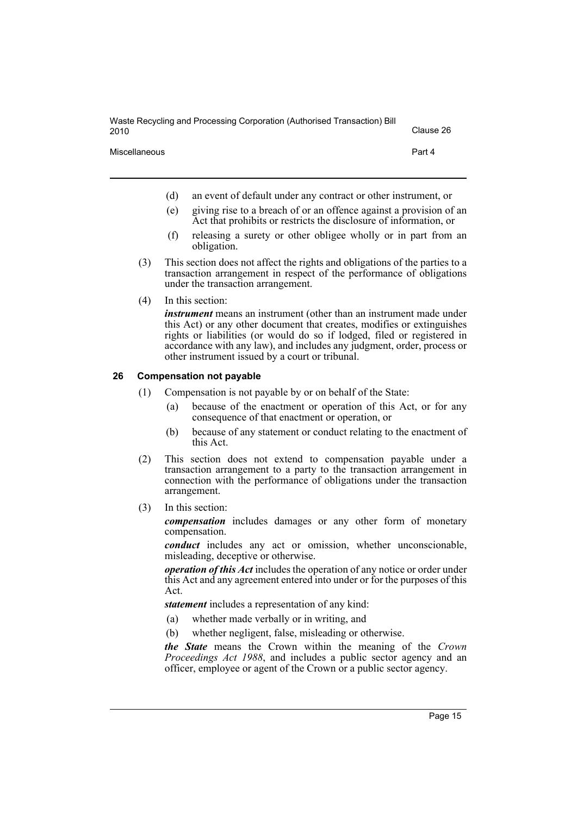| Waste Recycling and Processing Corporation (Authorised Transaction) Bill<br>2010 | Clause 26 |
|----------------------------------------------------------------------------------|-----------|
| <b>Miscellaneous</b>                                                             | Part 4    |

- (d) an event of default under any contract or other instrument, or
- (e) giving rise to a breach of or an offence against a provision of an Act that prohibits or restricts the disclosure of information, or
- (f) releasing a surety or other obligee wholly or in part from an obligation.
- (3) This section does not affect the rights and obligations of the parties to a transaction arrangement in respect of the performance of obligations under the transaction arrangement.
- (4) In this section:

*instrument* means an instrument (other than an instrument made under this Act) or any other document that creates, modifies or extinguishes rights or liabilities (or would do so if lodged, filed or registered in accordance with any law), and includes any judgment, order, process or other instrument issued by a court or tribunal.

#### <span id="page-16-0"></span>**26 Compensation not payable**

- (1) Compensation is not payable by or on behalf of the State:
	- (a) because of the enactment or operation of this Act, or for any consequence of that enactment or operation, or
	- (b) because of any statement or conduct relating to the enactment of this Act.
- (2) This section does not extend to compensation payable under a transaction arrangement to a party to the transaction arrangement in connection with the performance of obligations under the transaction arrangement.
- (3) In this section:

*compensation* includes damages or any other form of monetary compensation.

*conduct* includes any act or omission, whether unconscionable, misleading, deceptive or otherwise.

*operation of this Act* includes the operation of any notice or order under this Act and any agreement entered into under or for the purposes of this Act.

*statement* includes a representation of any kind:

- (a) whether made verbally or in writing, and
- (b) whether negligent, false, misleading or otherwise.

*the State* means the Crown within the meaning of the *Crown Proceedings Act 1988*, and includes a public sector agency and an officer, employee or agent of the Crown or a public sector agency.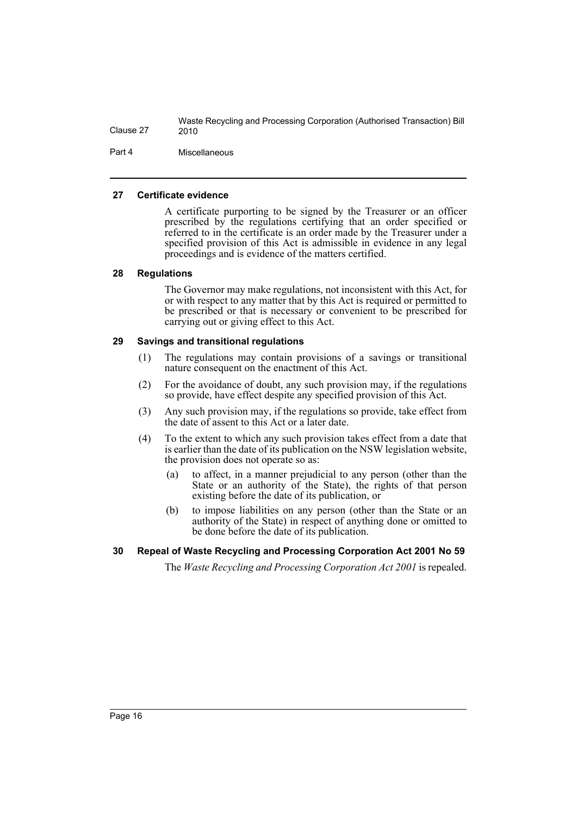Part 4 Miscellaneous

#### <span id="page-17-0"></span>**27 Certificate evidence**

A certificate purporting to be signed by the Treasurer or an officer prescribed by the regulations certifying that an order specified or referred to in the certificate is an order made by the Treasurer under a specified provision of this Act is admissible in evidence in any legal proceedings and is evidence of the matters certified.

#### <span id="page-17-1"></span>**28 Regulations**

The Governor may make regulations, not inconsistent with this Act, for or with respect to any matter that by this Act is required or permitted to be prescribed or that is necessary or convenient to be prescribed for carrying out or giving effect to this Act.

#### <span id="page-17-2"></span>**29 Savings and transitional regulations**

- (1) The regulations may contain provisions of a savings or transitional nature consequent on the enactment of this Act.
- (2) For the avoidance of doubt, any such provision may, if the regulations so provide, have effect despite any specified provision of this Act.
- (3) Any such provision may, if the regulations so provide, take effect from the date of assent to this Act or a later date.
- (4) To the extent to which any such provision takes effect from a date that is earlier than the date of its publication on the NSW legislation website, the provision does not operate so as:
	- (a) to affect, in a manner prejudicial to any person (other than the State or an authority of the State), the rights of that person existing before the date of its publication, or
	- (b) to impose liabilities on any person (other than the State or an authority of the State) in respect of anything done or omitted to be done before the date of its publication.

#### <span id="page-17-3"></span>**30 Repeal of Waste Recycling and Processing Corporation Act 2001 No 59**

The *Waste Recycling and Processing Corporation Act 2001* is repealed.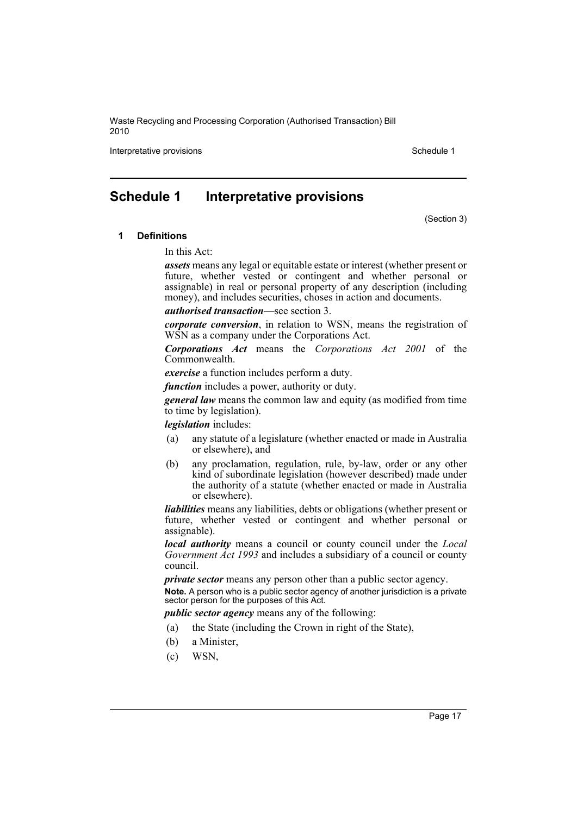Interpretative provisions and the set of the set of the set of the Schedule 1

# <span id="page-18-0"></span>**Schedule 1 Interpretative provisions**

(Section 3)

#### **1 Definitions**

In this Act:

*assets* means any legal or equitable estate or interest (whether present or future, whether vested or contingent and whether personal or assignable) in real or personal property of any description (including money), and includes securities, choses in action and documents.

*authorised transaction*—see section 3.

*corporate conversion*, in relation to WSN, means the registration of WSN as a company under the Corporations Act.

*Corporations Act* means the *Corporations Act 2001* of the Commonwealth.

*exercise* a function includes perform a duty.

*function* includes a power, authority or duty.

*general law* means the common law and equity (as modified from time to time by legislation).

*legislation* includes:

- (a) any statute of a legislature (whether enacted or made in Australia or elsewhere), and
- (b) any proclamation, regulation, rule, by-law, order or any other kind of subordinate legislation (however described) made under the authority of a statute (whether enacted or made in Australia or elsewhere).

*liabilities* means any liabilities, debts or obligations (whether present or future, whether vested or contingent and whether personal or assignable).

*local authority* means a council or county council under the *Local Government Act 1993* and includes a subsidiary of a council or county council.

*private sector* means any person other than a public sector agency.

**Note.** A person who is a public sector agency of another jurisdiction is a private sector person for the purposes of this Act.

*public sector agency* means any of the following:

- (a) the State (including the Crown in right of the State),
- (b) a Minister,
- (c) WSN,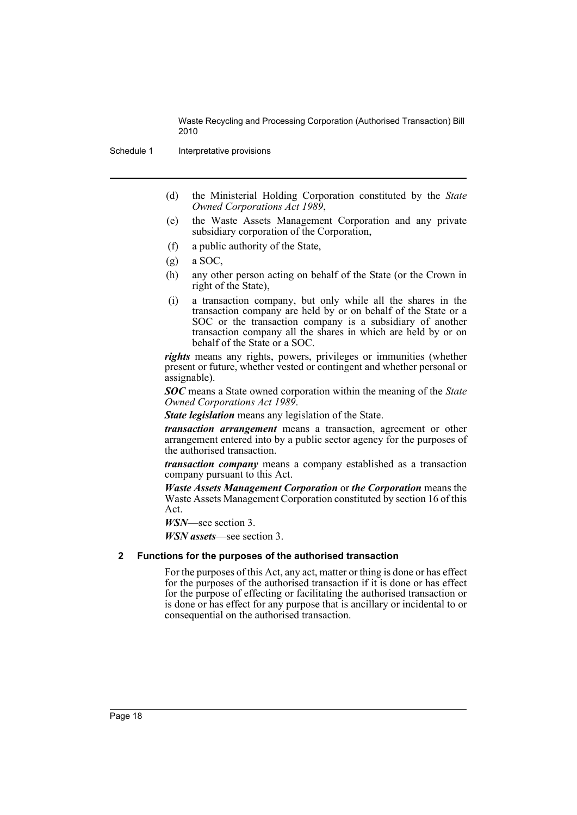Schedule 1 Interpretative provisions

- (d) the Ministerial Holding Corporation constituted by the *State Owned Corporations Act 1989*,
- (e) the Waste Assets Management Corporation and any private subsidiary corporation of the Corporation,
- (f) a public authority of the State,
- $(g)$  a SOC,
- (h) any other person acting on behalf of the State (or the Crown in right of the State),
- (i) a transaction company, but only while all the shares in the transaction company are held by or on behalf of the State or a SOC or the transaction company is a subsidiary of another transaction company all the shares in which are held by or on behalf of the State or a SOC.

*rights* means any rights, powers, privileges or immunities (whether present or future, whether vested or contingent and whether personal or assignable).

*SOC* means a State owned corporation within the meaning of the *State Owned Corporations Act 1989*.

*State legislation* means any legislation of the State.

*transaction arrangement* means a transaction, agreement or other arrangement entered into by a public sector agency for the purposes of the authorised transaction.

*transaction company* means a company established as a transaction company pursuant to this Act.

*Waste Assets Management Corporation* or *the Corporation* means the Waste Assets Management Corporation constituted by section 16 of this Act.

*WSN*—see section 3.

*WSN assets*—see section 3.

#### **2 Functions for the purposes of the authorised transaction**

For the purposes of this Act, any act, matter or thing is done or has effect for the purposes of the authorised transaction if it is done or has effect for the purpose of effecting or facilitating the authorised transaction or is done or has effect for any purpose that is ancillary or incidental to or consequential on the authorised transaction.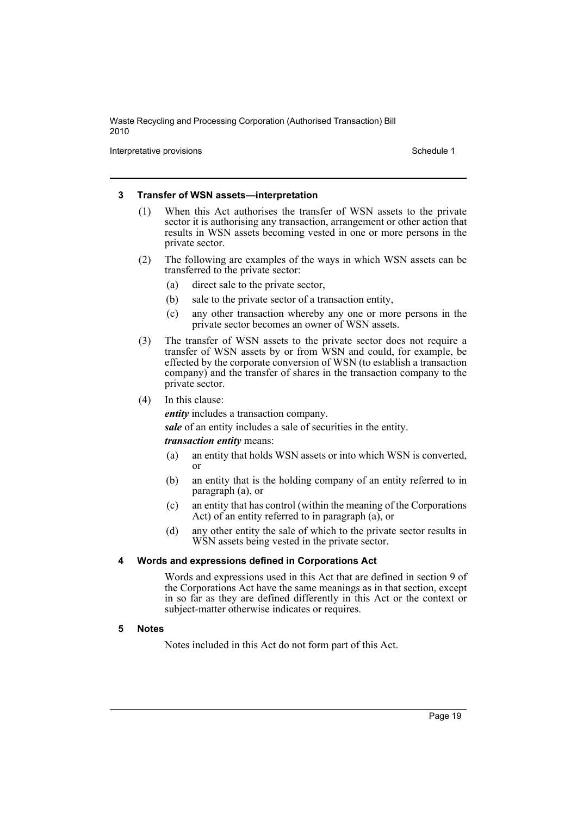Interpretative provisions and the set of the set of the set of the Schedule 1

#### **3 Transfer of WSN assets—interpretation**

- (1) When this Act authorises the transfer of WSN assets to the private sector it is authorising any transaction, arrangement or other action that results in WSN assets becoming vested in one or more persons in the private sector.
- (2) The following are examples of the ways in which WSN assets can be transferred to the private sector:
	- (a) direct sale to the private sector,
	- (b) sale to the private sector of a transaction entity,
	- (c) any other transaction whereby any one or more persons in the private sector becomes an owner of WSN assets.
- (3) The transfer of WSN assets to the private sector does not require a transfer of WSN assets by or from WSN and could, for example, be effected by the corporate conversion of WSN (to establish a transaction company) and the transfer of shares in the transaction company to the private sector.
- (4) In this clause:

*entity* includes a transaction company.

*sale* of an entity includes a sale of securities in the entity.

#### *transaction entity* means:

- (a) an entity that holds WSN assets or into which WSN is converted, or
- (b) an entity that is the holding company of an entity referred to in paragraph (a), or
- (c) an entity that has control (within the meaning of the Corporations Act) of an entity referred to in paragraph (a), or
- (d) any other entity the sale of which to the private sector results in WSN assets being vested in the private sector.

#### **4 Words and expressions defined in Corporations Act**

Words and expressions used in this Act that are defined in section 9 of the Corporations Act have the same meanings as in that section, except in so far as they are defined differently in this Act or the context or subject-matter otherwise indicates or requires.

#### **5 Notes**

Notes included in this Act do not form part of this Act.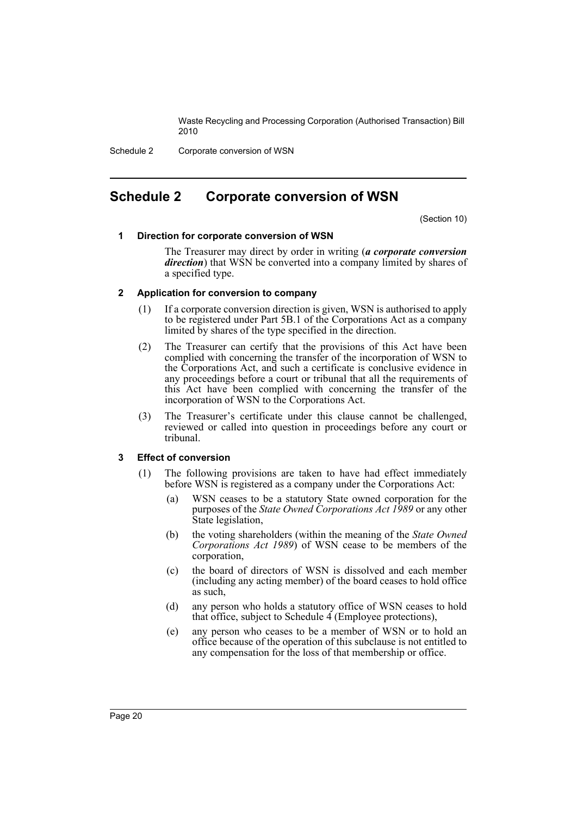Schedule 2 Corporate conversion of WSN

## <span id="page-21-0"></span>**Schedule 2 Corporate conversion of WSN**

(Section 10)

#### **1 Direction for corporate conversion of WSN**

The Treasurer may direct by order in writing (*a corporate conversion direction*) that WSN be converted into a company limited by shares of a specified type.

#### **2 Application for conversion to company**

- (1) If a corporate conversion direction is given, WSN is authorised to apply to be registered under Part 5B.1 of the Corporations Act as a company limited by shares of the type specified in the direction.
- (2) The Treasurer can certify that the provisions of this Act have been complied with concerning the transfer of the incorporation of WSN to the Corporations Act, and such a certificate is conclusive evidence in any proceedings before a court or tribunal that all the requirements of this Act have been complied with concerning the transfer of the incorporation of WSN to the Corporations Act.
- (3) The Treasurer's certificate under this clause cannot be challenged, reviewed or called into question in proceedings before any court or tribunal.

#### **3 Effect of conversion**

- (1) The following provisions are taken to have had effect immediately before WSN is registered as a company under the Corporations Act:
	- (a) WSN ceases to be a statutory State owned corporation for the purposes of the *State Owned Corporations Act 1989* or any other State legislation,
	- (b) the voting shareholders (within the meaning of the *State Owned Corporations Act 1989*) of WSN cease to be members of the corporation,
	- (c) the board of directors of WSN is dissolved and each member (including any acting member) of the board ceases to hold office as such,
	- (d) any person who holds a statutory office of WSN ceases to hold that office, subject to Schedule  $\overline{4}$  (Employee protections),
	- (e) any person who ceases to be a member of WSN or to hold an office because of the operation of this subclause is not entitled to any compensation for the loss of that membership or office.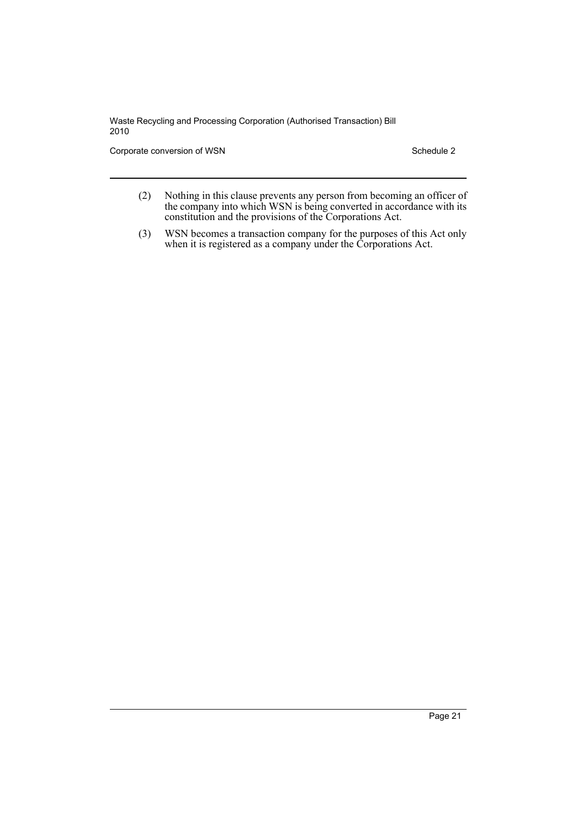Corporate conversion of WSN Schedule 2

- (2) Nothing in this clause prevents any person from becoming an officer of the company into which WSN is being converted in accordance with its constitution and the provisions of the Corporations Act.
- (3) WSN becomes a transaction company for the purposes of this Act only when it is registered as a company under the Corporations Act.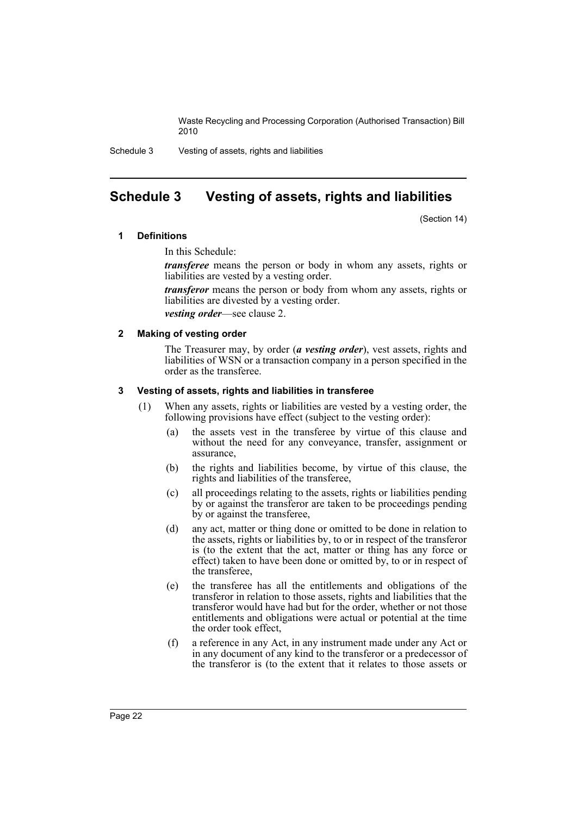Schedule 3 Vesting of assets, rights and liabilities

# <span id="page-23-0"></span>**Schedule 3 Vesting of assets, rights and liabilities**

(Section 14)

#### **1 Definitions**

In this Schedule:

*transferee* means the person or body in whom any assets, rights or liabilities are vested by a vesting order.

*transferor* means the person or body from whom any assets, rights or liabilities are divested by a vesting order.

*vesting order*—see clause 2.

#### **2 Making of vesting order**

The Treasurer may, by order (*a vesting order*), vest assets, rights and liabilities of WSN or a transaction company in a person specified in the order as the transferee.

#### **3 Vesting of assets, rights and liabilities in transferee**

- (1) When any assets, rights or liabilities are vested by a vesting order, the following provisions have effect (subject to the vesting order):
	- (a) the assets vest in the transferee by virtue of this clause and without the need for any conveyance, transfer, assignment or assurance,
	- (b) the rights and liabilities become, by virtue of this clause, the rights and liabilities of the transferee,
	- (c) all proceedings relating to the assets, rights or liabilities pending by or against the transferor are taken to be proceedings pending by or against the transferee,
	- (d) any act, matter or thing done or omitted to be done in relation to the assets, rights or liabilities by, to or in respect of the transferor is (to the extent that the act, matter or thing has any force or effect) taken to have been done or omitted by, to or in respect of the transferee,
	- (e) the transferee has all the entitlements and obligations of the transferor in relation to those assets, rights and liabilities that the transferor would have had but for the order, whether or not those entitlements and obligations were actual or potential at the time the order took effect,
	- (f) a reference in any Act, in any instrument made under any Act or in any document of any kind to the transferor or a predecessor of the transferor is (to the extent that it relates to those assets or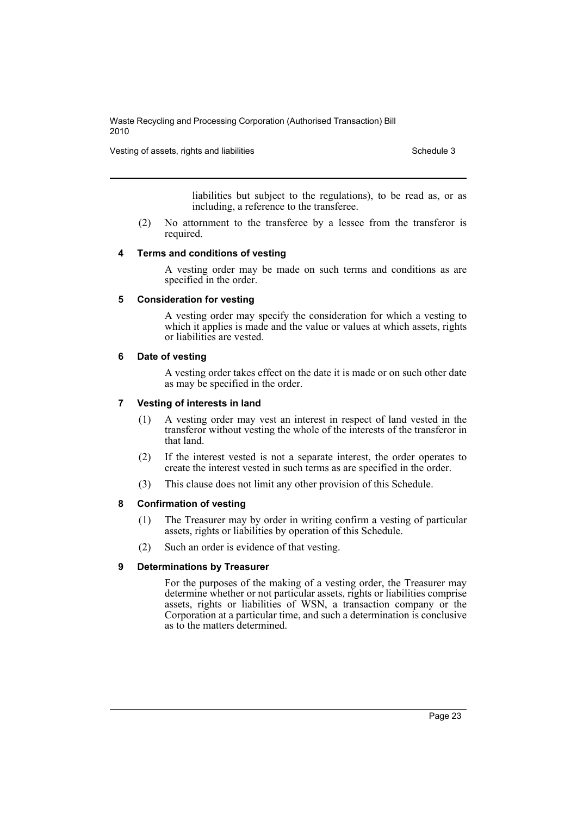Vesting of assets, rights and liabilities **Schedule 3** Schedule 3

liabilities but subject to the regulations), to be read as, or as including, a reference to the transferee.

(2) No attornment to the transferee by a lessee from the transferor is required.

#### **4 Terms and conditions of vesting**

A vesting order may be made on such terms and conditions as are specified in the order.

#### **5 Consideration for vesting**

A vesting order may specify the consideration for which a vesting to which it applies is made and the value or values at which assets, rights or liabilities are vested.

#### **6 Date of vesting**

A vesting order takes effect on the date it is made or on such other date as may be specified in the order.

#### **7 Vesting of interests in land**

- (1) A vesting order may vest an interest in respect of land vested in the transferor without vesting the whole of the interests of the transferor in that land.
- (2) If the interest vested is not a separate interest, the order operates to create the interest vested in such terms as are specified in the order.
- (3) This clause does not limit any other provision of this Schedule.

#### **8 Confirmation of vesting**

- (1) The Treasurer may by order in writing confirm a vesting of particular assets, rights or liabilities by operation of this Schedule.
- (2) Such an order is evidence of that vesting.

#### **9 Determinations by Treasurer**

For the purposes of the making of a vesting order, the Treasurer may determine whether or not particular assets, rights or liabilities comprise assets, rights or liabilities of WSN, a transaction company or the Corporation at a particular time, and such a determination is conclusive as to the matters determined.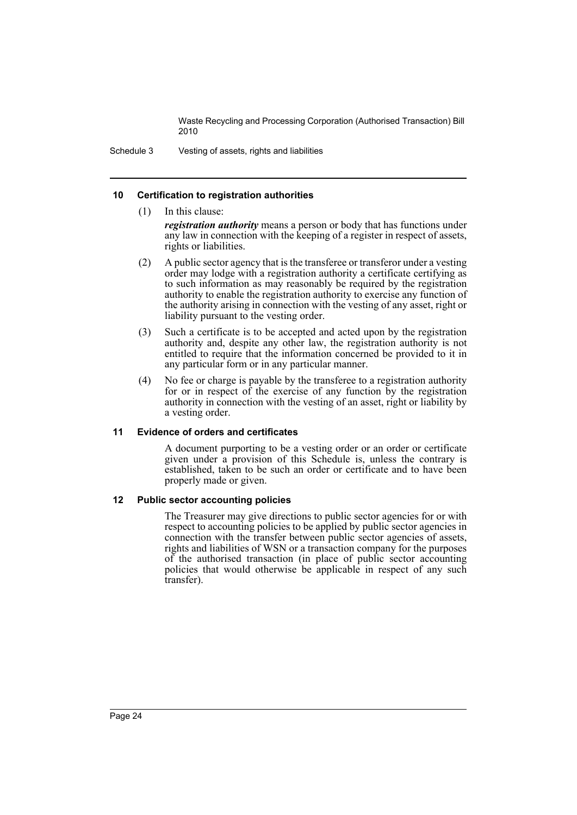Schedule 3 Vesting of assets, rights and liabilities

#### **10 Certification to registration authorities**

- (1) In this clause: *registration authority* means a person or body that has functions under any law in connection with the keeping of a register in respect of assets, rights or liabilities.
- (2) A public sector agency that is the transferee or transferor under a vesting order may lodge with a registration authority a certificate certifying as to such information as may reasonably be required by the registration authority to enable the registration authority to exercise any function of the authority arising in connection with the vesting of any asset, right or liability pursuant to the vesting order.
- (3) Such a certificate is to be accepted and acted upon by the registration authority and, despite any other law, the registration authority is not entitled to require that the information concerned be provided to it in any particular form or in any particular manner.
- (4) No fee or charge is payable by the transferee to a registration authority for or in respect of the exercise of any function by the registration authority in connection with the vesting of an asset, right or liability by a vesting order.

#### **11 Evidence of orders and certificates**

A document purporting to be a vesting order or an order or certificate given under a provision of this Schedule is, unless the contrary is established, taken to be such an order or certificate and to have been properly made or given.

#### **12 Public sector accounting policies**

The Treasurer may give directions to public sector agencies for or with respect to accounting policies to be applied by public sector agencies in connection with the transfer between public sector agencies of assets, rights and liabilities of WSN or a transaction company for the purposes of the authorised transaction (in place of public sector accounting policies that would otherwise be applicable in respect of any such transfer).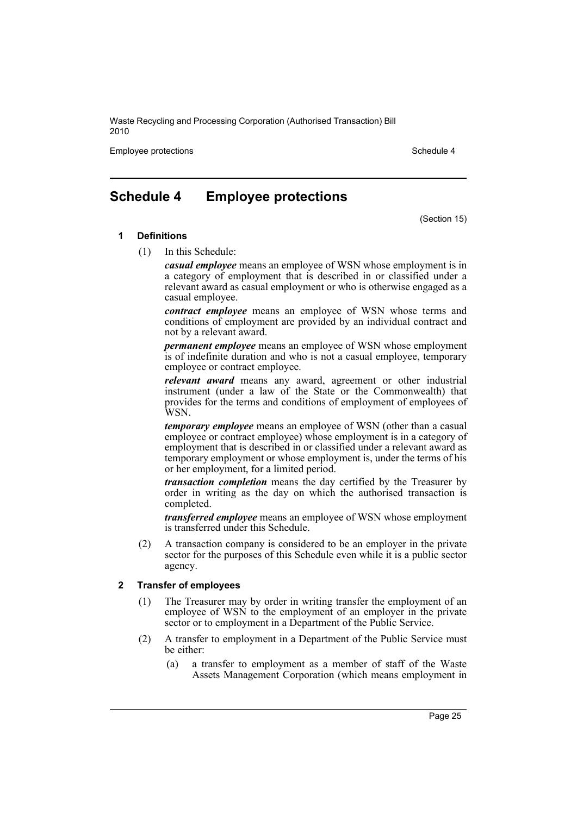Employee protections and the state of the state of the Schedule 4 and the Schedule 4

# <span id="page-26-0"></span>**Schedule 4 Employee protections**

(Section 15)

#### **1 Definitions**

(1) In this Schedule:

*casual employee* means an employee of WSN whose employment is in a category of employment that is described in or classified under a relevant award as casual employment or who is otherwise engaged as a casual employee.

*contract employee* means an employee of WSN whose terms and conditions of employment are provided by an individual contract and not by a relevant award.

*permanent employee* means an employee of WSN whose employment is of indefinite duration and who is not a casual employee, temporary employee or contract employee.

*relevant award* means any award, agreement or other industrial instrument (under a law of the State or the Commonwealth) that provides for the terms and conditions of employment of employees of WSN.

*temporary employee* means an employee of WSN (other than a casual employee or contract employee) whose employment is in a category of employment that is described in or classified under a relevant award as temporary employment or whose employment is, under the terms of his or her employment, for a limited period.

*transaction completion* means the day certified by the Treasurer by order in writing as the day on which the authorised transaction is completed.

*transferred employee* means an employee of WSN whose employment is transferred under this Schedule.

(2) A transaction company is considered to be an employer in the private sector for the purposes of this Schedule even while it is a public sector agency.

#### **2 Transfer of employees**

- (1) The Treasurer may by order in writing transfer the employment of an employee of WSN to the employment of an employer in the private sector or to employment in a Department of the Public Service.
- (2) A transfer to employment in a Department of the Public Service must be either:
	- (a) a transfer to employment as a member of staff of the Waste Assets Management Corporation (which means employment in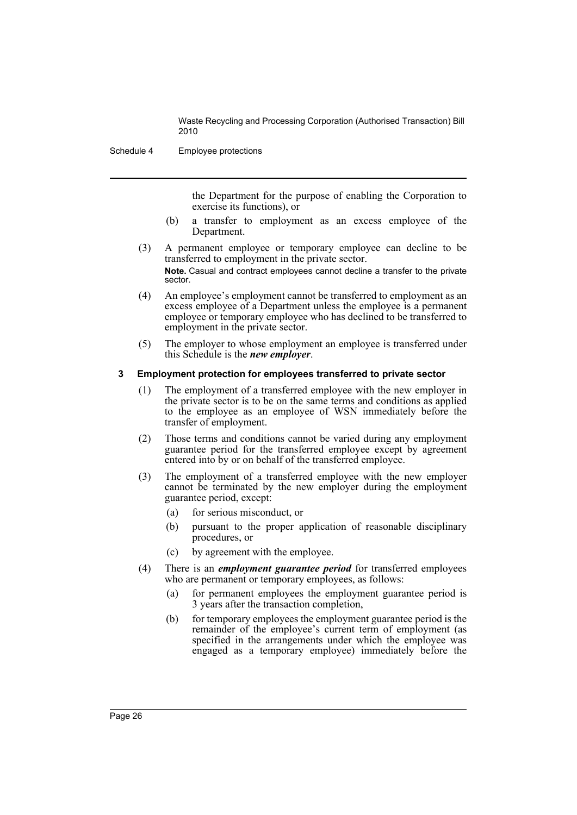Schedule 4 Employee protections

the Department for the purpose of enabling the Corporation to exercise its functions), or

- (b) a transfer to employment as an excess employee of the Department.
- (3) A permanent employee or temporary employee can decline to be transferred to employment in the private sector. **Note.** Casual and contract employees cannot decline a transfer to the private sector.
- (4) An employee's employment cannot be transferred to employment as an excess employee of a Department unless the employee is a permanent employee or temporary employee who has declined to be transferred to employment in the private sector.
- (5) The employer to whose employment an employee is transferred under this Schedule is the *new employer*.

#### **3 Employment protection for employees transferred to private sector**

- (1) The employment of a transferred employee with the new employer in the private sector is to be on the same terms and conditions as applied to the employee as an employee of WSN immediately before the transfer of employment.
- (2) Those terms and conditions cannot be varied during any employment guarantee period for the transferred employee except by agreement entered into by or on behalf of the transferred employee.
- (3) The employment of a transferred employee with the new employer cannot be terminated by the new employer during the employment guarantee period, except:
	- (a) for serious misconduct, or
	- (b) pursuant to the proper application of reasonable disciplinary procedures, or
	- (c) by agreement with the employee.
- (4) There is an *employment guarantee period* for transferred employees who are permanent or temporary employees, as follows:
	- (a) for permanent employees the employment guarantee period is 3 years after the transaction completion,
	- (b) for temporary employees the employment guarantee period is the remainder of the employee's current term of employment (as specified in the arrangements under which the employee was engaged as a temporary employee) immediately before the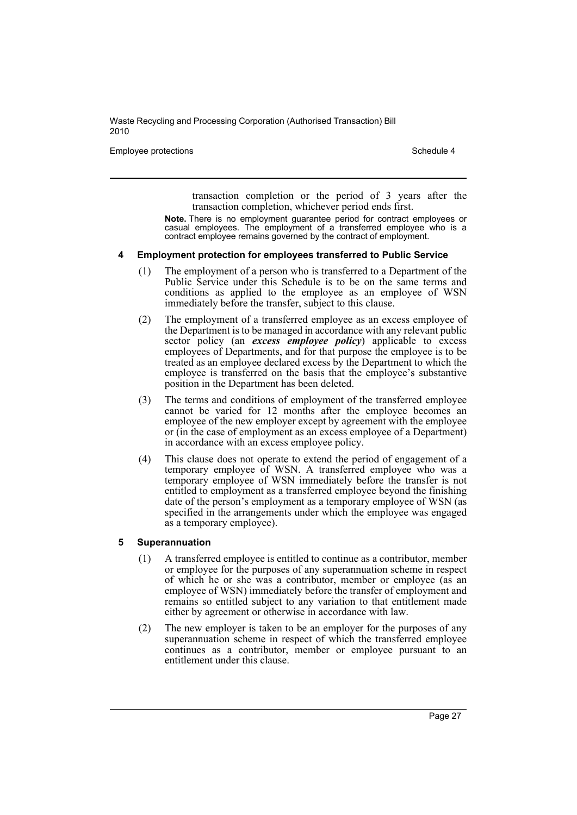Employee protections **Schedule 4** Schedule 4

transaction completion or the period of 3 years after the transaction completion, whichever period ends first.

**Note.** There is no employment guarantee period for contract employees or casual employees. The employment of a transferred employee who is a contract employee remains governed by the contract of employment.

#### **4 Employment protection for employees transferred to Public Service**

- (1) The employment of a person who is transferred to a Department of the Public Service under this Schedule is to be on the same terms and conditions as applied to the employee as an employee of WSN immediately before the transfer, subject to this clause.
- (2) The employment of a transferred employee as an excess employee of the Department is to be managed in accordance with any relevant public sector policy (an *excess employee policy*) applicable to excess employees of Departments, and for that purpose the employee is to be treated as an employee declared excess by the Department to which the employee is transferred on the basis that the employee's substantive position in the Department has been deleted.
- (3) The terms and conditions of employment of the transferred employee cannot be varied for 12 months after the employee becomes an employee of the new employer except by agreement with the employee or (in the case of employment as an excess employee of a Department) in accordance with an excess employee policy.
- (4) This clause does not operate to extend the period of engagement of a temporary employee of WSN. A transferred employee who was a temporary employee of WSN immediately before the transfer is not entitled to employment as a transferred employee beyond the finishing date of the person's employment as a temporary employee of WSN (as specified in the arrangements under which the employee was engaged as a temporary employee).

#### **5 Superannuation**

- (1) A transferred employee is entitled to continue as a contributor, member or employee for the purposes of any superannuation scheme in respect of which he or she was a contributor, member or employee (as an employee of WSN) immediately before the transfer of employment and remains so entitled subject to any variation to that entitlement made either by agreement or otherwise in accordance with law.
- (2) The new employer is taken to be an employer for the purposes of any superannuation scheme in respect of which the transferred employee continues as a contributor, member or employee pursuant to an entitlement under this clause.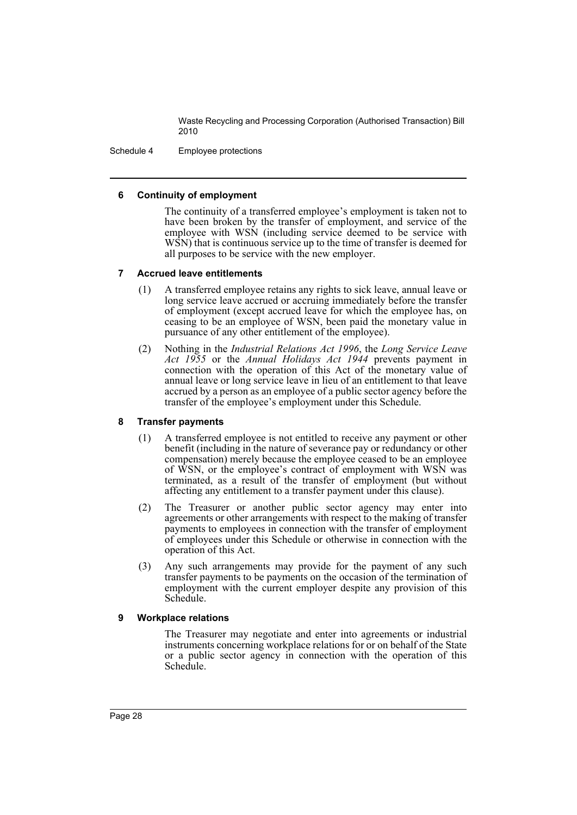Schedule 4 Employee protections

#### **6 Continuity of employment**

The continuity of a transferred employee's employment is taken not to have been broken by the transfer of employment, and service of the employee with WSN (including service deemed to be service with WSN) that is continuous service up to the time of transfer is deemed for all purposes to be service with the new employer.

#### **7 Accrued leave entitlements**

- (1) A transferred employee retains any rights to sick leave, annual leave or long service leave accrued or accruing immediately before the transfer of employment (except accrued leave for which the employee has, on ceasing to be an employee of WSN, been paid the monetary value in pursuance of any other entitlement of the employee).
- (2) Nothing in the *Industrial Relations Act 1996*, the *Long Service Leave Act 1955* or the *Annual Holidays Act 1944* prevents payment in connection with the operation of this Act of the monetary value of annual leave or long service leave in lieu of an entitlement to that leave accrued by a person as an employee of a public sector agency before the transfer of the employee's employment under this Schedule.

#### **8 Transfer payments**

- (1) A transferred employee is not entitled to receive any payment or other benefit (including in the nature of severance pay or redundancy or other compensation) merely because the employee ceased to be an employee of WSN, or the employee's contract of employment with WSN was terminated, as a result of the transfer of employment (but without affecting any entitlement to a transfer payment under this clause).
- (2) The Treasurer or another public sector agency may enter into agreements or other arrangements with respect to the making of transfer payments to employees in connection with the transfer of employment of employees under this Schedule or otherwise in connection with the operation of this Act.
- (3) Any such arrangements may provide for the payment of any such transfer payments to be payments on the occasion of the termination of employment with the current employer despite any provision of this Schedule.

#### **9 Workplace relations**

The Treasurer may negotiate and enter into agreements or industrial instruments concerning workplace relations for or on behalf of the State or a public sector agency in connection with the operation of this Schedule.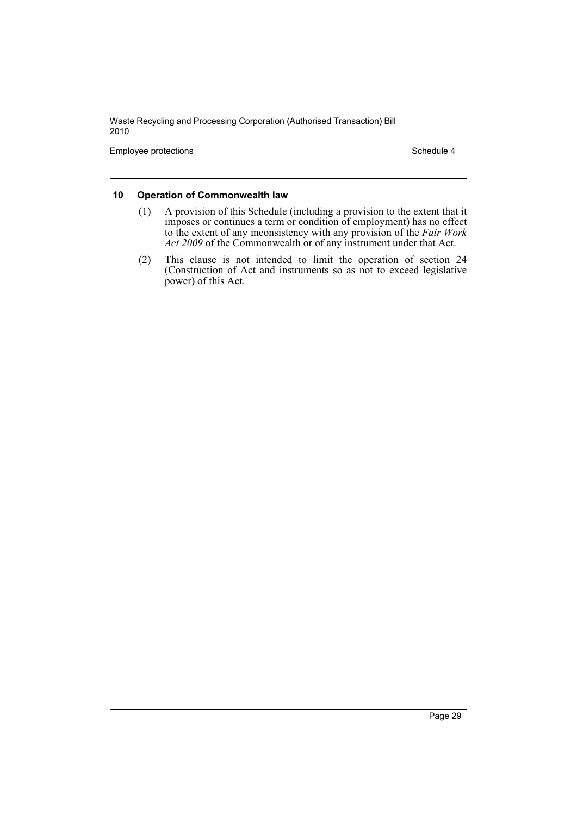Employee protections and the state of the Schedule 4 Schedule 4

#### **10 Operation of Commonwealth law**

- (1) A provision of this Schedule (including a provision to the extent that it imposes or continues a term or condition of employment) has no effect to the extent of any inconsistency with any provision of the *Fair Work Act 2009* of the Commonwealth or of any instrument under that Act.
- (2) This clause is not intended to limit the operation of section 24 (Construction of Act and instruments so as not to exceed legislative power) of this Act.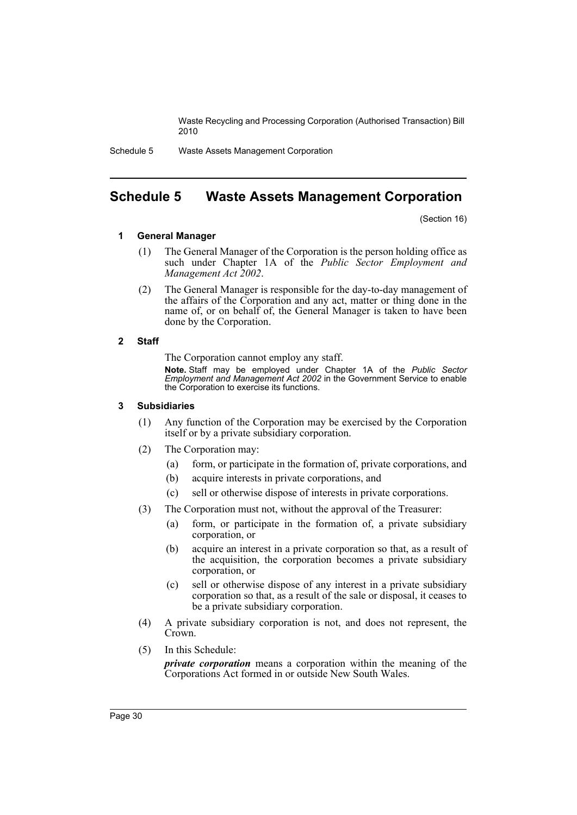Schedule 5 Waste Assets Management Corporation

## <span id="page-31-0"></span>**Schedule 5 Waste Assets Management Corporation**

(Section 16)

#### **1 General Manager**

- (1) The General Manager of the Corporation is the person holding office as such under Chapter 1A of the *Public Sector Employment and Management Act 2002*.
- (2) The General Manager is responsible for the day-to-day management of the affairs of the Corporation and any act, matter or thing done in the name of, or on behalf of, the General Manager is taken to have been done by the Corporation.

#### **2 Staff**

The Corporation cannot employ any staff.

**Note.** Staff may be employed under Chapter 1A of the *Public Sector Employment and Management Act 2002* in the Government Service to enable the Corporation to exercise its functions.

#### **3 Subsidiaries**

- (1) Any function of the Corporation may be exercised by the Corporation itself or by a private subsidiary corporation.
- (2) The Corporation may:
	- (a) form, or participate in the formation of, private corporations, and
	- (b) acquire interests in private corporations, and
	- (c) sell or otherwise dispose of interests in private corporations.
- (3) The Corporation must not, without the approval of the Treasurer:
	- (a) form, or participate in the formation of, a private subsidiary corporation, or
	- (b) acquire an interest in a private corporation so that, as a result of the acquisition, the corporation becomes a private subsidiary corporation, or
	- (c) sell or otherwise dispose of any interest in a private subsidiary corporation so that, as a result of the sale or disposal, it ceases to be a private subsidiary corporation.
- (4) A private subsidiary corporation is not, and does not represent, the Crown
- (5) In this Schedule:

*private corporation* means a corporation within the meaning of the Corporations Act formed in or outside New South Wales.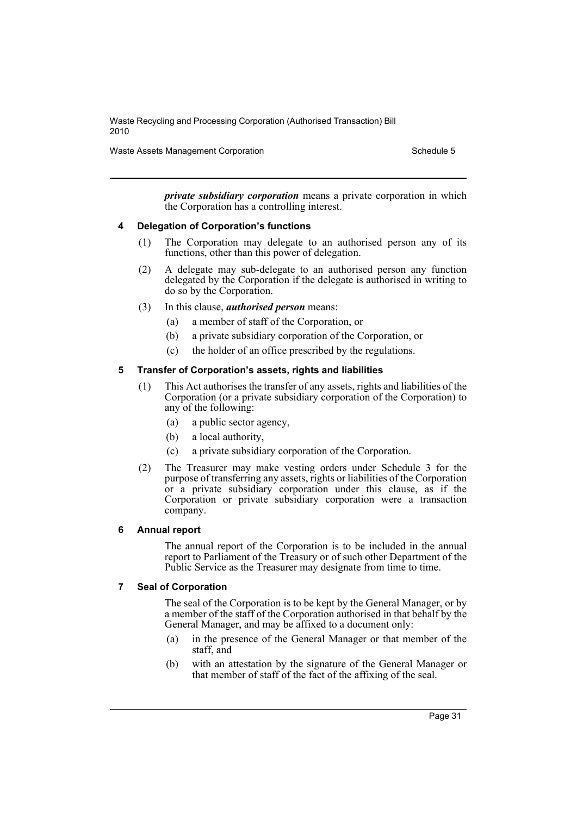Waste Assets Management Corporation Schedule 5

*private subsidiary corporation* means a private corporation in which the Corporation has a controlling interest.

#### **4 Delegation of Corporation's functions**

- (1) The Corporation may delegate to an authorised person any of its functions, other than this power of delegation.
- (2) A delegate may sub-delegate to an authorised person any function delegated by the Corporation if the delegate is authorised in writing to do so by the Corporation.
- (3) In this clause, *authorised person* means:
	- (a) a member of staff of the Corporation, or
	- (b) a private subsidiary corporation of the Corporation, or
	- (c) the holder of an office prescribed by the regulations.

#### **5 Transfer of Corporation's assets, rights and liabilities**

- (1) This Act authorises the transfer of any assets, rights and liabilities of the Corporation (or a private subsidiary corporation of the Corporation) to any of the following:
	- (a) a public sector agency,
	- (b) a local authority,
	- (c) a private subsidiary corporation of the Corporation.
- (2) The Treasurer may make vesting orders under Schedule 3 for the purpose of transferring any assets, rights or liabilities of the Corporation or a private subsidiary corporation under this clause, as if the Corporation or private subsidiary corporation were a transaction company.

#### **6 Annual report**

The annual report of the Corporation is to be included in the annual report to Parliament of the Treasury or of such other Department of the Public Service as the Treasurer may designate from time to time.

#### **7 Seal of Corporation**

The seal of the Corporation is to be kept by the General Manager, or by a member of the staff of the Corporation authorised in that behalf by the General Manager, and may be affixed to a document only:

- (a) in the presence of the General Manager or that member of the staff, and
- (b) with an attestation by the signature of the General Manager or that member of staff of the fact of the affixing of the seal.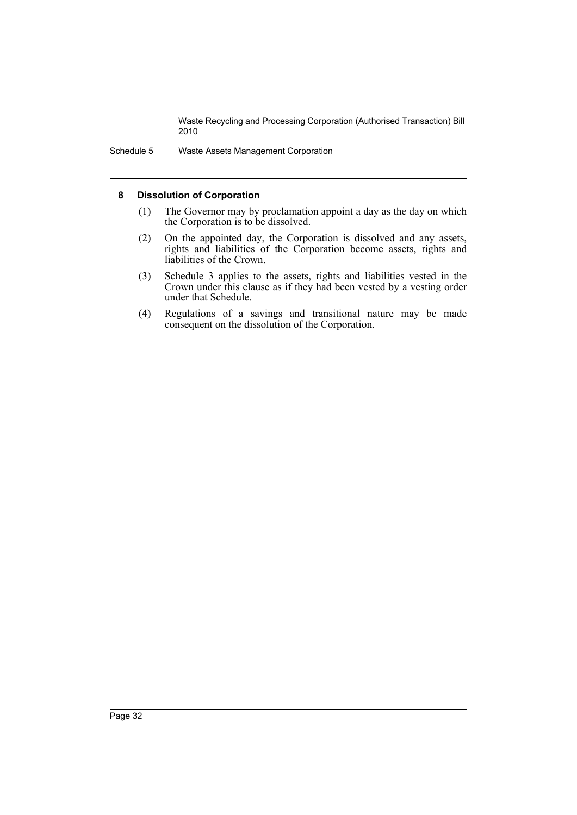Schedule 5 Waste Assets Management Corporation

#### **8 Dissolution of Corporation**

- (1) The Governor may by proclamation appoint a day as the day on which the Corporation is to be dissolved.
- (2) On the appointed day, the Corporation is dissolved and any assets, rights and liabilities of the Corporation become assets, rights and liabilities of the Crown.
- (3) Schedule 3 applies to the assets, rights and liabilities vested in the Crown under this clause as if they had been vested by a vesting order under that Schedule.
- (4) Regulations of a savings and transitional nature may be made consequent on the dissolution of the Corporation.